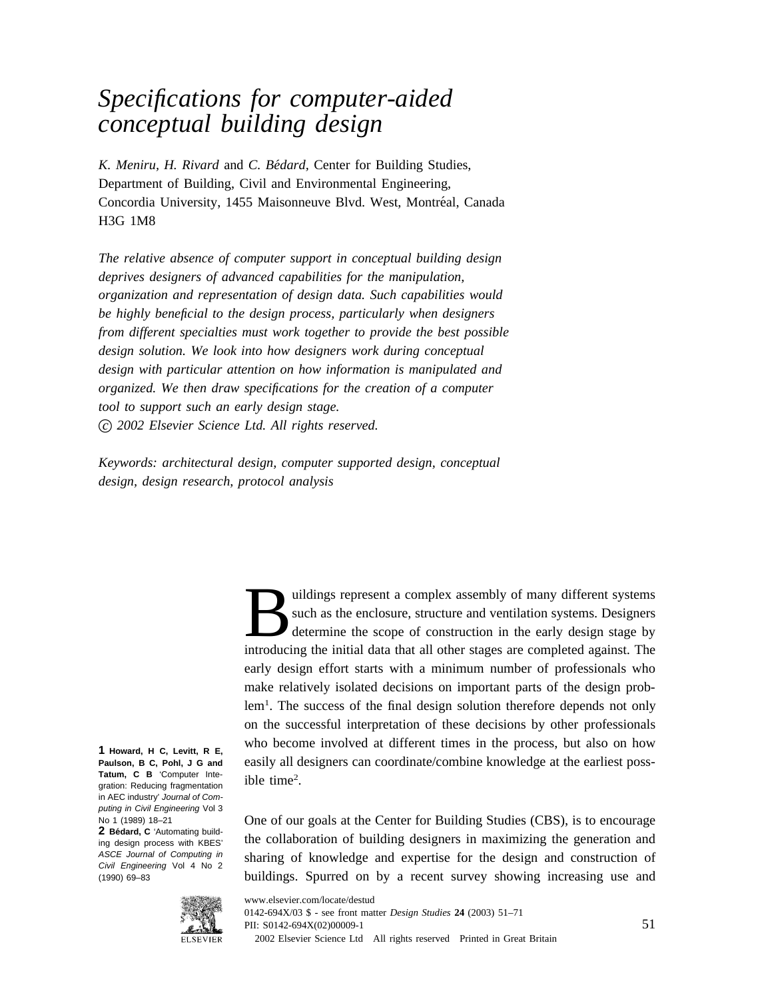## *Specifications for computer-aided conceptual building design*

*K. Meniru, H. Rivard* and *C. Be´dard,* Center for Building Studies, Department of Building, Civil and Environmental Engineering, Concordia University, 1455 Maisonneuve Blvd. West, Montréal, Canada H3G 1M8

*The relative absence of computer support in conceptual building design deprives designers of advanced capabilities for the manipulation, organization and representation of design data. Such capabilities would be highly beneficial to the design process, particularly when designers from different specialties must work together to provide the best possible design solution. We look into how designers work during conceptual design with particular attention on how information is manipulated and organized. We then draw specifications for the creation of a computer tool to support such an early design stage. c 2002 Elsevier Science Ltd. All rights reserved.*

*Keywords: architectural design, computer supported design, conceptual design, design research, protocol analysis*

> uildings represent a complex assembly of many different systems<br>such as the enclosure, structure and ventilation systems. Designers<br>determine the scope of construction in the early design stage by<br>introducing the initial d such as the enclosure, structure and ventilation systems. Designers determine the scope of construction in the early design stage by introducing the initial data that all other stages are completed against. The early design effort starts with a minimum number of professionals who make relatively isolated decisions on important parts of the design problem<sup>1</sup>. The success of the final design solution therefore depends not only on the successful interpretation of these decisions by other professionals who become involved at different times in the process, but also on how easily all designers can coordinate/combine knowledge at the earliest possible time<sup>2</sup>.

> One of our goals at the Center for Building Studies (CBS), is to encourage the collaboration of building designers in maximizing the generation and sharing of knowledge and expertise for the design and construction of buildings. Spurred on by a recent survey showing increasing use and

**1 Howard, H C, Levitt, R E, Paulson, B C, Pohl, J G and Tatum, C B** 'Computer Integration: Reducing fragmentation

ing design process with KBES' ASCE Journal of Computing in Civil Engineering Vol 4 No 2 (1990) 69–83



in AEC industry' Journal of Computing in Civil Engineering Vol 3 No 1 (1989) 18–21 2 **Bédard, C** 'Automating build-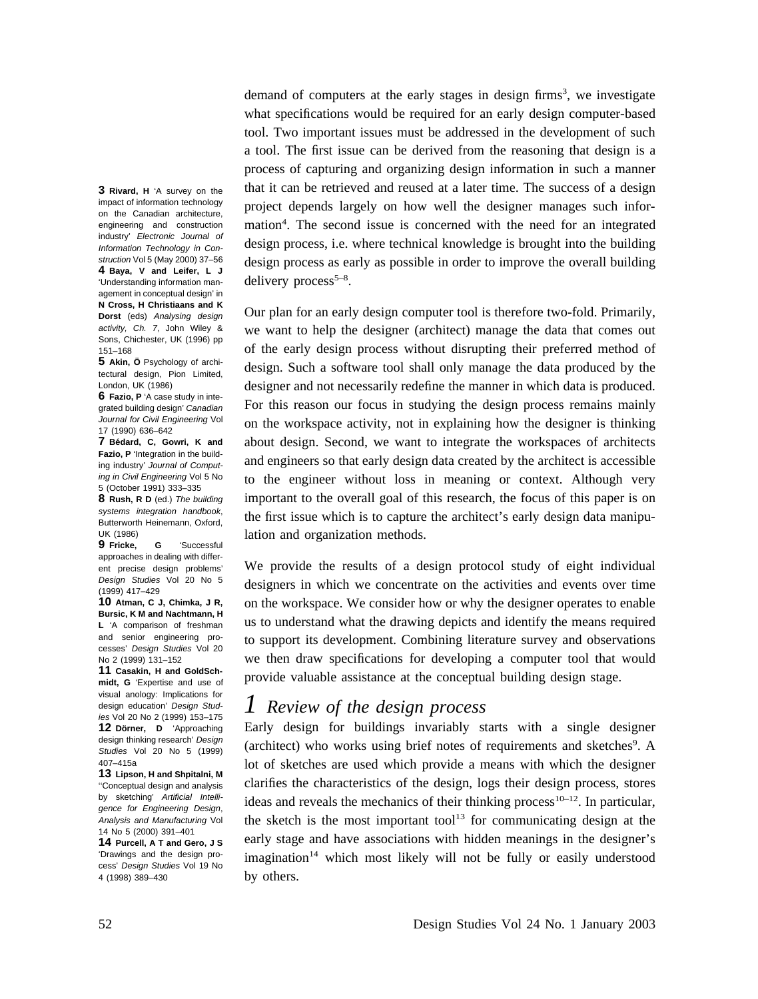demand of computers at the early stages in design firms<sup>3</sup>, we investigate what specifications would be required for an early design computer-based tool. Two important issues must be addressed in the development of such a tool. The first issue can be derived from the reasoning that design is a process of capturing and organizing design information in such a manner that it can be retrieved and reused at a later time. The success of a design project depends largely on how well the designer manages such information<sup>4</sup>. The second issue is concerned with the need for an integrated design process, i.e. where technical knowledge is brought into the building design process as early as possible in order to improve the overall building delivery process<sup>5-8</sup>.

Our plan for an early design computer tool is therefore two-fold. Primarily, we want to help the designer (architect) manage the data that comes out of the early design process without disrupting their preferred method of design. Such a software tool shall only manage the data produced by the designer and not necessarily redefine the manner in which data is produced. For this reason our focus in studying the design process remains mainly on the workspace activity, not in explaining how the designer is thinking about design. Second, we want to integrate the workspaces of architects and engineers so that early design data created by the architect is accessible to the engineer without loss in meaning or context. Although very important to the overall goal of this research, the focus of this paper is on the first issue which is to capture the architect's early design data manipulation and organization methods.

We provide the results of a design protocol study of eight individual designers in which we concentrate on the activities and events over time on the workspace. We consider how or why the designer operates to enable us to understand what the drawing depicts and identify the means required to support its development. Combining literature survey and observations we then draw specifications for developing a computer tool that would provide valuable assistance at the conceptual building design stage.

## *1 Review of the design process*

Early design for buildings invariably starts with a single designer (architect) who works using brief notes of requirements and sketches<sup>9</sup>. A lot of sketches are used which provide a means with which the designer clarifies the characteristics of the design, logs their design process, stores ideas and reveals the mechanics of their thinking process<sup>10–12</sup>. In particular, the sketch is the most important tool<sup>13</sup> for communicating design at the early stage and have associations with hidden meanings in the designer's imagination<sup>14</sup> which most likely will not be fully or easily understood by others.

**3 Rivard, H** 'A survey on the impact of information technology on the Canadian architecture, engineering and construction industry' Electronic Journal of Information Technology in Construction Vol 5 (May 2000) 37–56 **4 Baya, V and Leifer, L J** 'Understanding information management in conceptual design' in **N Cross, H Christiaans and K Dorst** (eds) Analysing design activity, Ch. 7, John Wiley & Sons, Chichester, UK (1996) pp 151–168

**5** Akin, Ö Psychology of architectural design, Pion Limited, London, UK (1986)

**6 Fazio, P** 'A case study in integrated building design' Canadian Journal for Civil Engineering Vol 17 (1990) 636–642

**7 Be´dard, C, Gowri, K and Fazio, P** 'Integration in the building industry' Journal of Computing in Civil Engineering Vol 5 No 5 (October 1991) 333–335

**8 Rush, R D** (ed.) The building systems integration handbook, Butterworth Heinemann, Oxford, UK (1986)

**9 Fricke, G** 'Successful approaches in dealing with different precise design problems' Design Studies Vol 20 No 5 (1999) 417–429

**10 Atman, C J, Chimka, J R, Bursic, K M and Nachtmann, H L** 'A comparison of freshman and senior engineering processes' Design Studies Vol 20 No 2 (1999) 131–152

**11 Casakin, H and GoldSchmidt, G** 'Expertise and use of visual anology: Implications for design education' Design Studies Vol 20 No 2 (1999) 153–175 **12 Do¨rner, D** 'Approaching design thinking research' Design Studies Vol 20 No 5 (1999) 407–415a

**13 Lipson, H and Shpitalni, M** ''Conceptual design and analysis by sketching' Artificial Intelligence for Engineering Design, Analysis and Manufacturing Vol 14 No 5 (2000) 391–401

**14 Purcell, A T and Gero, J S** 'Drawings and the design process' Design Studies Vol 19 No 4 (1998) 389–430